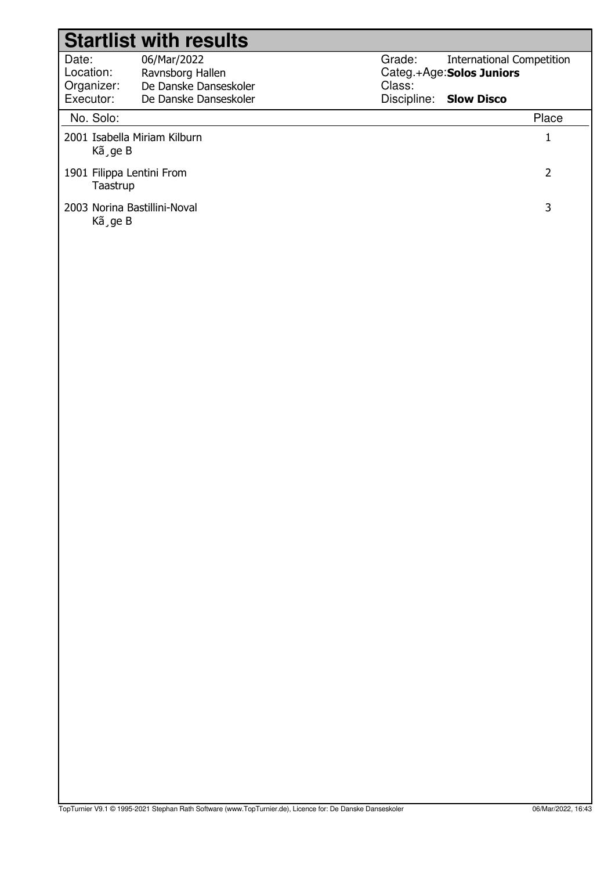|                                         | <b>Startlist with results</b>                            |                  |                                                               |
|-----------------------------------------|----------------------------------------------------------|------------------|---------------------------------------------------------------|
| Date:<br>Location:<br>Organizer:        | 06/Mar/2022<br>Ravnsborg Hallen<br>De Danske Danseskoler | Grade:<br>Class: | <b>International Competition</b><br>Categ.+Age: Solos Juniors |
| Executor:                               | De Danske Danseskoler                                    |                  | Discipline: Slow Disco                                        |
| No. Solo:                               |                                                          |                  | Place                                                         |
| 2001 Isabella Miriam Kilburn<br>Kã ge B |                                                          |                  | 1                                                             |
| 1901 Filippa Lentini From<br>Taastrup   |                                                          |                  | 2                                                             |
| 2003 Norina Bastillini-Noval<br>Kã ge B |                                                          |                  | 3                                                             |
|                                         |                                                          |                  |                                                               |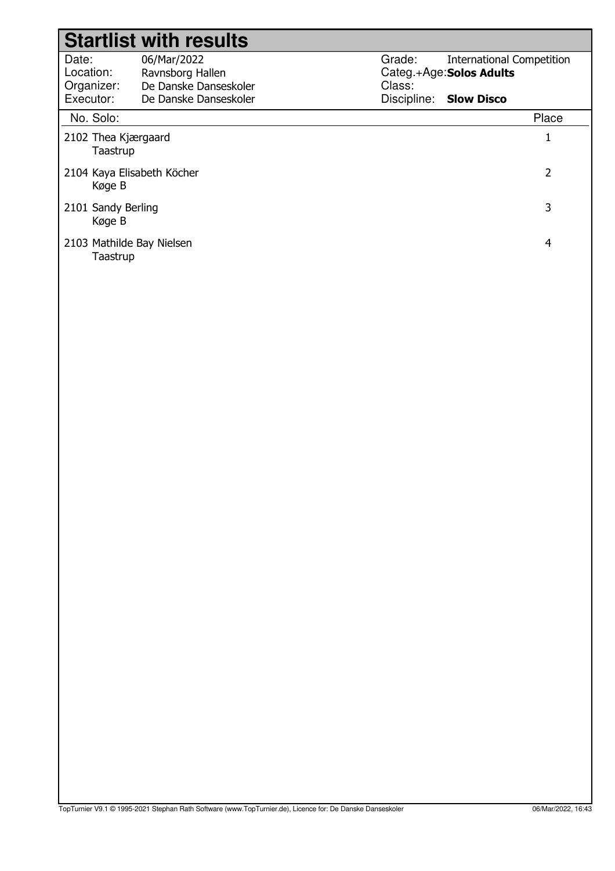|                                               | <b>Startlist with results</b>                                                     |                                 |                                                                                   |       |
|-----------------------------------------------|-----------------------------------------------------------------------------------|---------------------------------|-----------------------------------------------------------------------------------|-------|
| Date:<br>Location:<br>Organizer:<br>Executor: | 06/Mar/2022<br>Ravnsborg Hallen<br>De Danske Danseskoler<br>De Danske Danseskoler | Grade:<br>Class:<br>Discipline: | <b>International Competition</b><br>Categ.+Age: Solos Adults<br><b>Slow Disco</b> |       |
| No. Solo:                                     |                                                                                   |                                 |                                                                                   | Place |
| 2102 Thea Kjærgaard<br>Taastrup               |                                                                                   |                                 |                                                                                   |       |
| 2104 Kaya Elisabeth Köcher<br>Køge B          |                                                                                   |                                 |                                                                                   | 2     |
| 2101 Sandy Berling<br>Køge B                  |                                                                                   |                                 |                                                                                   | 3     |
| 2103 Mathilde Bay Nielsen<br>Taastrup         |                                                                                   |                                 |                                                                                   | 4     |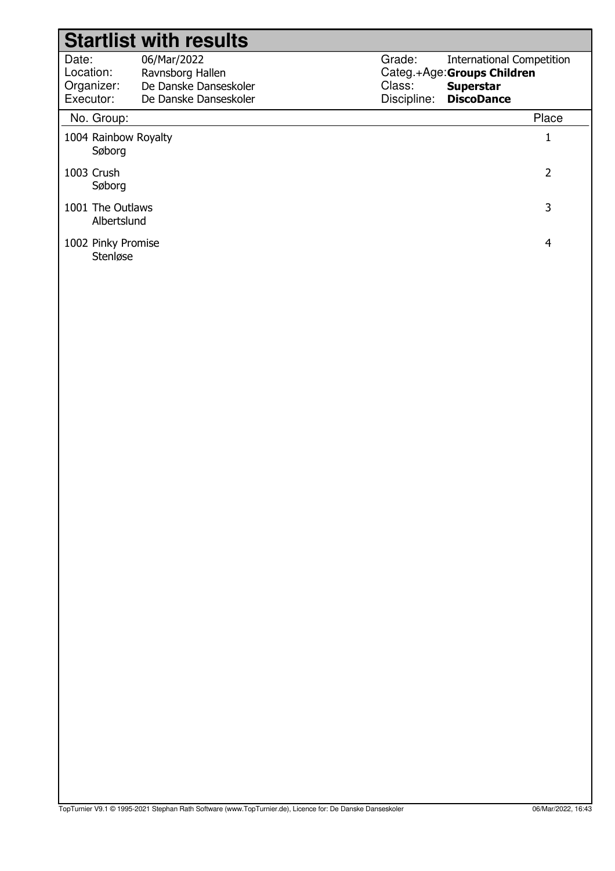|                                               | <b>Startlist with results</b>                                                     |                                                                                                                                             |                |
|-----------------------------------------------|-----------------------------------------------------------------------------------|---------------------------------------------------------------------------------------------------------------------------------------------|----------------|
| Date:<br>Location:<br>Organizer:<br>Executor: | 06/Mar/2022<br>Ravnsborg Hallen<br>De Danske Danseskoler<br>De Danske Danseskoler | Grade:<br><b>International Competition</b><br>Categ.+Age: Groups Children<br>Class:<br><b>Superstar</b><br>Discipline:<br><b>DiscoDance</b> |                |
| No. Group:                                    |                                                                                   |                                                                                                                                             | Place          |
| 1004 Rainbow Royalty<br>Søborg                |                                                                                   |                                                                                                                                             | $\mathbf{1}$   |
| 1003 Crush<br>Søborg                          |                                                                                   |                                                                                                                                             | $\overline{2}$ |
| 1001 The Outlaws<br>Albertslund               |                                                                                   |                                                                                                                                             | $\mathsf{3}$   |
| 1002 Pinky Promise<br>Stenløse                |                                                                                   |                                                                                                                                             | $\overline{4}$ |
|                                               |                                                                                   |                                                                                                                                             |                |
|                                               |                                                                                   |                                                                                                                                             |                |
|                                               |                                                                                   |                                                                                                                                             |                |
|                                               |                                                                                   |                                                                                                                                             |                |
|                                               |                                                                                   |                                                                                                                                             |                |
|                                               |                                                                                   |                                                                                                                                             |                |
|                                               |                                                                                   |                                                                                                                                             |                |
|                                               |                                                                                   |                                                                                                                                             |                |
|                                               |                                                                                   |                                                                                                                                             |                |
|                                               |                                                                                   |                                                                                                                                             |                |
|                                               |                                                                                   |                                                                                                                                             |                |
|                                               |                                                                                   |                                                                                                                                             |                |
|                                               |                                                                                   |                                                                                                                                             |                |
|                                               |                                                                                   |                                                                                                                                             |                |
|                                               |                                                                                   |                                                                                                                                             |                |
|                                               |                                                                                   |                                                                                                                                             |                |
|                                               |                                                                                   |                                                                                                                                             |                |
|                                               |                                                                                   |                                                                                                                                             |                |
|                                               |                                                                                   |                                                                                                                                             |                |
|                                               |                                                                                   |                                                                                                                                             |                |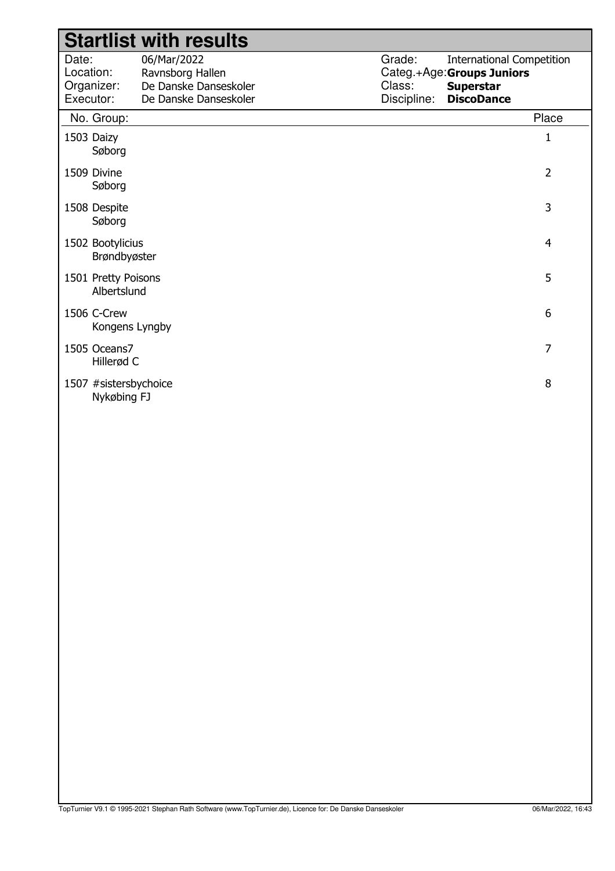|                                               | <b>Startlist with results</b>                                                     |                                 |                                                                                                         |
|-----------------------------------------------|-----------------------------------------------------------------------------------|---------------------------------|---------------------------------------------------------------------------------------------------------|
| Date:<br>Location:<br>Organizer:<br>Executor: | 06/Mar/2022<br>Ravnsborg Hallen<br>De Danske Danseskoler<br>De Danske Danseskoler | Grade:<br>Class:<br>Discipline: | <b>International Competition</b><br>Categ.+Age: Groups Juniors<br><b>Superstar</b><br><b>DiscoDance</b> |
| No. Group:                                    |                                                                                   |                                 | Place                                                                                                   |
| 1503 Daizy<br>Søborg                          |                                                                                   |                                 | $\mathbf{1}$                                                                                            |
| 1509 Divine<br>Søborg                         |                                                                                   |                                 | $\overline{2}$                                                                                          |
| 1508 Despite<br>Søborg                        |                                                                                   |                                 | 3                                                                                                       |
| 1502 Bootylicius<br>Brøndbyøster              |                                                                                   |                                 | $\overline{4}$                                                                                          |
| 1501 Pretty Poisons<br>Albertslund            |                                                                                   |                                 | 5                                                                                                       |
| 1506 C-Crew<br>Kongens Lyngby                 |                                                                                   |                                 | $6\,$                                                                                                   |
| 1505 Oceans7<br>Hillerød C                    |                                                                                   |                                 | $\overline{7}$                                                                                          |
| 1507 #sistersbychoice<br>Nykøbing FJ          |                                                                                   |                                 | 8                                                                                                       |
|                                               |                                                                                   |                                 |                                                                                                         |
|                                               |                                                                                   |                                 |                                                                                                         |
|                                               |                                                                                   |                                 |                                                                                                         |
|                                               |                                                                                   |                                 |                                                                                                         |
|                                               |                                                                                   |                                 |                                                                                                         |
|                                               |                                                                                   |                                 |                                                                                                         |
|                                               |                                                                                   |                                 |                                                                                                         |
|                                               |                                                                                   |                                 |                                                                                                         |
|                                               |                                                                                   |                                 |                                                                                                         |
|                                               |                                                                                   |                                 |                                                                                                         |
|                                               |                                                                                   |                                 |                                                                                                         |
|                                               |                                                                                   |                                 |                                                                                                         |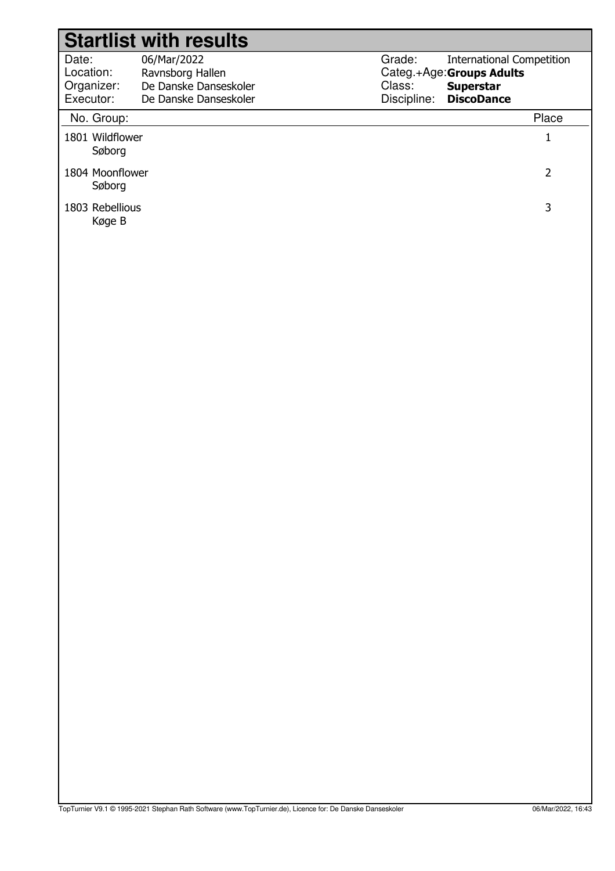|                           | <b>Startlist with results</b>             |             |                                              |  |
|---------------------------|-------------------------------------------|-------------|----------------------------------------------|--|
| Date:                     | 06/Mar/2022                               | Grade:      | <b>International Competition</b>             |  |
| Location:<br>Organizer:   | Ravnsborg Hallen<br>De Danske Danseskoler | Class:      | Categ.+Age:Groups Adults<br><b>Superstar</b> |  |
| Executor:                 | De Danske Danseskoler                     | Discipline: | <b>DiscoDance</b>                            |  |
| No. Group:                |                                           |             | Place                                        |  |
| 1801 Wildflower<br>Søborg |                                           |             | $\mathbf{1}$                                 |  |
| 1804 Moonflower<br>Søborg |                                           |             | $\overline{2}$                               |  |
| 1803 Rebellious<br>Køge B |                                           |             | $\mathbf{3}$                                 |  |
|                           |                                           |             |                                              |  |
|                           |                                           |             |                                              |  |
|                           |                                           |             |                                              |  |
|                           |                                           |             |                                              |  |
|                           |                                           |             |                                              |  |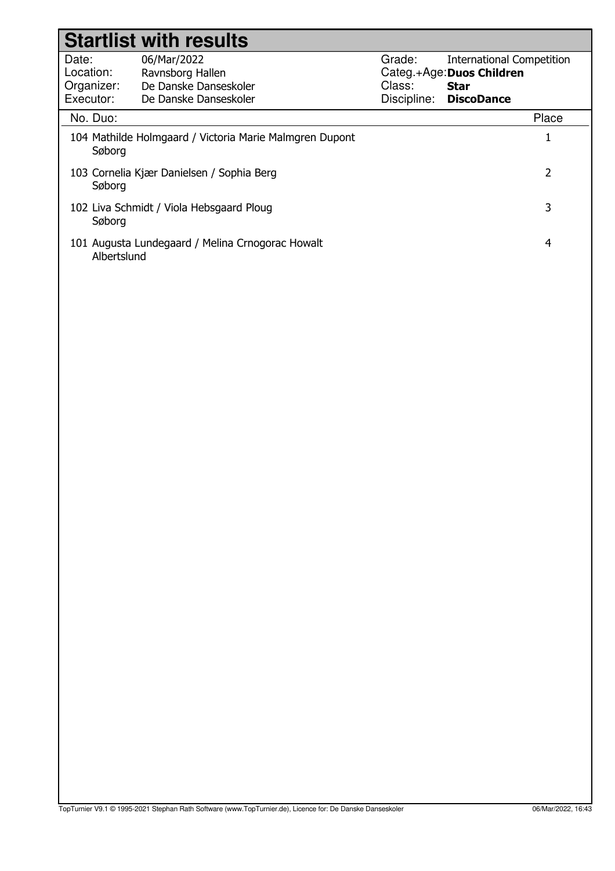|                    | <b>Startlist with results</b>                           |        |                                          |
|--------------------|---------------------------------------------------------|--------|------------------------------------------|
| Date:<br>Location: | 06/Mar/2022                                             | Grade: | <b>International Competition</b>         |
| Organizer:         | Ravnsborg Hallen<br>De Danske Danseskoler               | Class: | Categ.+Age: Duos Children<br><b>Star</b> |
| Executor:          | De Danske Danseskoler                                   |        | Discipline: DiscoDance                   |
| No. Duo:           |                                                         |        | Place                                    |
|                    | 104 Mathilde Holmgaard / Victoria Marie Malmgren Dupont |        | $\mathbf{1}$                             |
| Søborg             |                                                         |        |                                          |
| Søborg             | 103 Cornelia Kjær Danielsen / Sophia Berg               |        | $\overline{2}$                           |
| Søborg             | 102 Liva Schmidt / Viola Hebsgaard Ploug                |        | 3                                        |
| Albertslund        | 101 Augusta Lundegaard / Melina Crnogorac Howalt        |        | $\overline{4}$                           |
|                    |                                                         |        |                                          |
|                    |                                                         |        |                                          |
|                    |                                                         |        |                                          |
|                    |                                                         |        |                                          |
|                    |                                                         |        |                                          |
|                    |                                                         |        |                                          |
|                    |                                                         |        |                                          |
|                    |                                                         |        |                                          |
|                    |                                                         |        |                                          |
|                    |                                                         |        |                                          |
|                    |                                                         |        |                                          |
|                    |                                                         |        |                                          |
|                    |                                                         |        |                                          |
|                    |                                                         |        |                                          |
|                    |                                                         |        |                                          |
|                    |                                                         |        |                                          |
|                    |                                                         |        |                                          |
|                    |                                                         |        |                                          |
|                    |                                                         |        |                                          |
|                    |                                                         |        |                                          |
|                    |                                                         |        |                                          |
|                    |                                                         |        |                                          |
|                    |                                                         |        |                                          |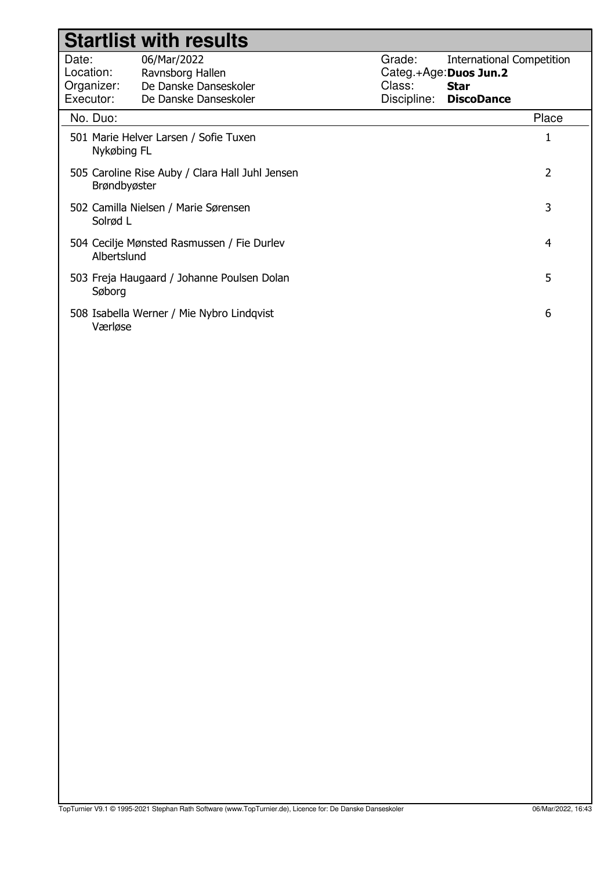|                                               | <b>Startlist with results</b>                                                     |                                 |                                                                                               |
|-----------------------------------------------|-----------------------------------------------------------------------------------|---------------------------------|-----------------------------------------------------------------------------------------------|
| Date:<br>Location:<br>Organizer:<br>Executor: | 06/Mar/2022<br>Ravnsborg Hallen<br>De Danske Danseskoler<br>De Danske Danseskoler | Grade:<br>Class:<br>Discipline: | <b>International Competition</b><br>Categ.+Age:Duos Jun.2<br><b>Star</b><br><b>DiscoDance</b> |
| No. Duo:                                      |                                                                                   |                                 | Place                                                                                         |
| Nykøbing FL                                   | 501 Marie Helver Larsen / Sofie Tuxen                                             |                                 | 1                                                                                             |
| Brøndbyøster                                  | 505 Caroline Rise Auby / Clara Hall Juhl Jensen                                   |                                 | 2                                                                                             |
| Solrød L                                      | 502 Camilla Nielsen / Marie Sørensen                                              |                                 | 3                                                                                             |
| Albertslund                                   | 504 Cecilje Mønsted Rasmussen / Fie Durlev                                        |                                 | 4                                                                                             |
| Søborg                                        | 503 Freja Haugaard / Johanne Poulsen Dolan                                        |                                 | 5                                                                                             |
| Værløse                                       | 508 Isabella Werner / Mie Nybro Lindqvist                                         |                                 | 6                                                                                             |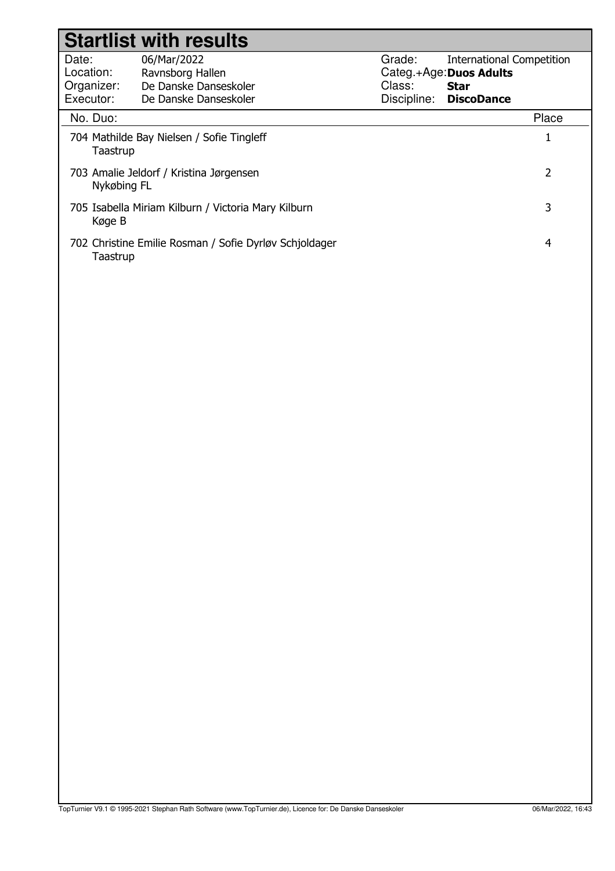|                                               | <b>Startlist with results</b>                                                     |                                 |                                                                                                 |
|-----------------------------------------------|-----------------------------------------------------------------------------------|---------------------------------|-------------------------------------------------------------------------------------------------|
| Date:<br>Location:<br>Organizer:<br>Executor: | 06/Mar/2022<br>Ravnsborg Hallen<br>De Danske Danseskoler<br>De Danske Danseskoler | Grade:<br>Class:<br>Discipline: | <b>International Competition</b><br>Categ.+Age: Duos Adults<br><b>Star</b><br><b>DiscoDance</b> |
| No. Duo:                                      |                                                                                   |                                 | Place                                                                                           |
| Taastrup                                      | 704 Mathilde Bay Nielsen / Sofie Tingleff                                         |                                 | $\mathbf{1}$                                                                                    |
| Nykøbing FL                                   | 703 Amalie Jeldorf / Kristina Jørgensen                                           |                                 | $\overline{2}$                                                                                  |
| Køge B                                        | 705 Isabella Miriam Kilburn / Victoria Mary Kilburn                               |                                 | 3                                                                                               |
| Taastrup                                      | 702 Christine Emilie Rosman / Sofie Dyrløv Schjoldager                            |                                 | $\overline{4}$                                                                                  |
|                                               |                                                                                   |                                 |                                                                                                 |
|                                               |                                                                                   |                                 |                                                                                                 |
|                                               |                                                                                   |                                 |                                                                                                 |
|                                               |                                                                                   |                                 |                                                                                                 |
|                                               |                                                                                   |                                 |                                                                                                 |
|                                               |                                                                                   |                                 |                                                                                                 |
|                                               |                                                                                   |                                 |                                                                                                 |
|                                               |                                                                                   |                                 |                                                                                                 |
|                                               |                                                                                   |                                 |                                                                                                 |
|                                               |                                                                                   |                                 |                                                                                                 |
|                                               |                                                                                   |                                 |                                                                                                 |
|                                               |                                                                                   |                                 |                                                                                                 |
|                                               |                                                                                   |                                 |                                                                                                 |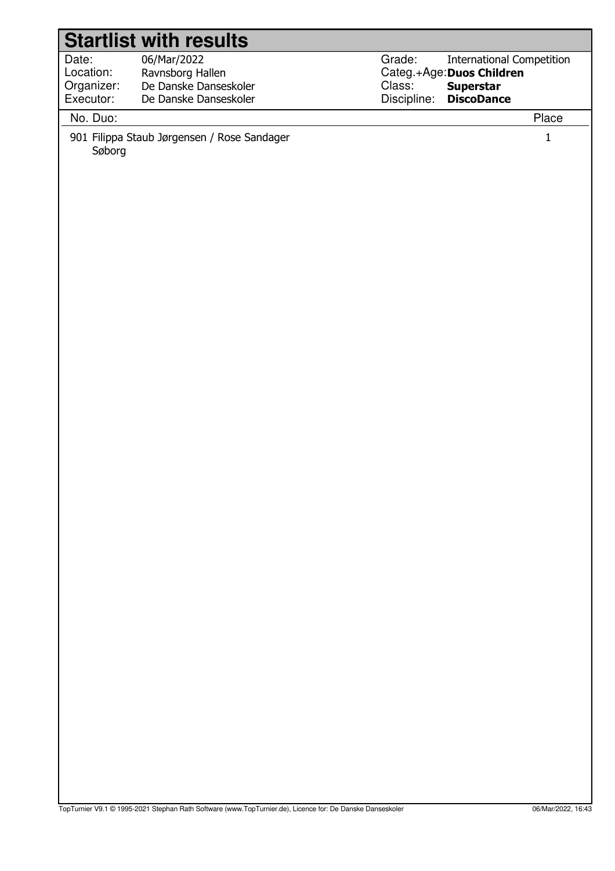|            | <b>Startlist with results</b>               |                                            |  |
|------------|---------------------------------------------|--------------------------------------------|--|
| Date:      | 06/Mar/2022                                 | Grade:<br><b>International Competition</b> |  |
| Location:  | Ravnsborg Hallen                            | Categ.+Age: Duos Children                  |  |
| Organizer: | De Danske Danseskoler                       | Class:<br><b>Superstar</b>                 |  |
| Executor:  | De Danske Danseskoler                       | Discipline:<br><b>DiscoDance</b>           |  |
| No. Duo:   |                                             | Place                                      |  |
| Søborg     | 901 Filippa Staub Jørgensen / Rose Sandager | $\mathbf{1}$                               |  |
|            |                                             |                                            |  |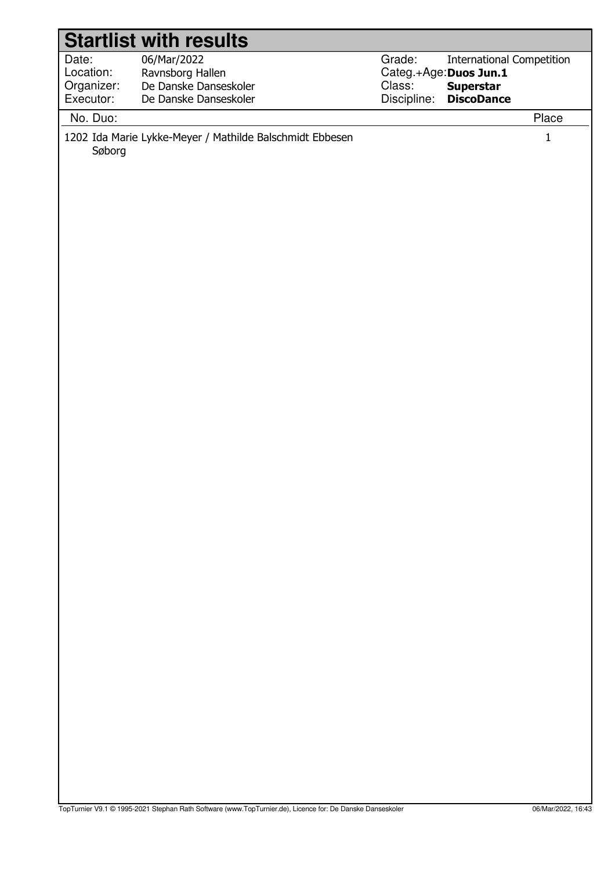|                                  | <b>Startlist with results</b>                            |                                                                                                    |
|----------------------------------|----------------------------------------------------------|----------------------------------------------------------------------------------------------------|
| Date:<br>Location:<br>Organizer: | 06/Mar/2022<br>Ravnsborg Hallen<br>De Danske Danseskoler | Grade:<br><b>International Competition</b><br>Categ.+Age: Duos Jun.1<br>Class:<br><b>Superstar</b> |
| Executor:                        | De Danske Danseskoler                                    | Discipline:<br><b>DiscoDance</b>                                                                   |
|                                  |                                                          |                                                                                                    |
| No. Duo:<br>Søborg               | 1202 Ida Marie Lykke-Meyer / Mathilde Balschmidt Ebbesen | Place<br>$\mathbf 1$                                                                               |
|                                  |                                                          |                                                                                                    |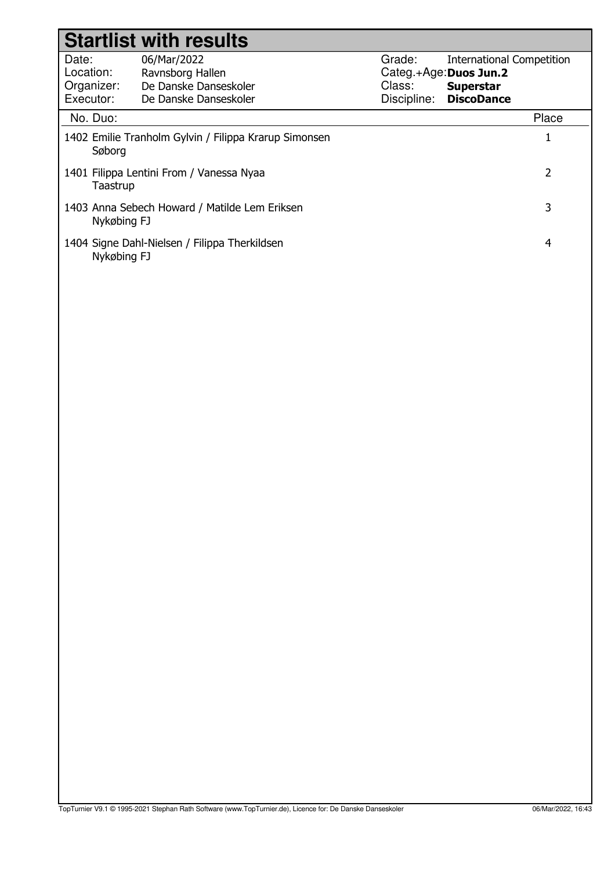|                                               | <b>Startlist with results</b>                                                     |                                 |                                                                                                     |
|-----------------------------------------------|-----------------------------------------------------------------------------------|---------------------------------|-----------------------------------------------------------------------------------------------------|
| Date:<br>Location:<br>Organizer:<br>Executor: | 06/Mar/2022<br>Ravnsborg Hallen<br>De Danske Danseskoler<br>De Danske Danseskoler | Grade:<br>Class:<br>Discipline: | <b>International Competition</b><br>Categ.+Age: Duos Jun.2<br><b>Superstar</b><br><b>DiscoDance</b> |
| No. Duo:                                      |                                                                                   |                                 | Place                                                                                               |
| Søborg                                        | 1402 Emilie Tranholm Gylvin / Filippa Krarup Simonsen                             |                                 | $\mathbf{1}$                                                                                        |
| Taastrup                                      | 1401 Filippa Lentini From / Vanessa Nyaa                                          |                                 | $\overline{2}$                                                                                      |
| Nykøbing FJ                                   | 1403 Anna Sebech Howard / Matilde Lem Eriksen                                     |                                 | 3                                                                                                   |
| Nykøbing FJ                                   | 1404 Signe Dahl-Nielsen / Filippa Therkildsen                                     |                                 | $\overline{4}$                                                                                      |
|                                               |                                                                                   |                                 |                                                                                                     |
|                                               |                                                                                   |                                 |                                                                                                     |
|                                               |                                                                                   |                                 |                                                                                                     |
|                                               |                                                                                   |                                 |                                                                                                     |
|                                               |                                                                                   |                                 |                                                                                                     |
|                                               |                                                                                   |                                 |                                                                                                     |
|                                               |                                                                                   |                                 |                                                                                                     |
|                                               |                                                                                   |                                 |                                                                                                     |
|                                               |                                                                                   |                                 |                                                                                                     |
|                                               |                                                                                   |                                 |                                                                                                     |
|                                               |                                                                                   |                                 |                                                                                                     |
|                                               |                                                                                   |                                 |                                                                                                     |
|                                               |                                                                                   |                                 |                                                                                                     |
|                                               |                                                                                   |                                 |                                                                                                     |
|                                               |                                                                                   |                                 |                                                                                                     |
|                                               |                                                                                   |                                 |                                                                                                     |
|                                               |                                                                                   |                                 |                                                                                                     |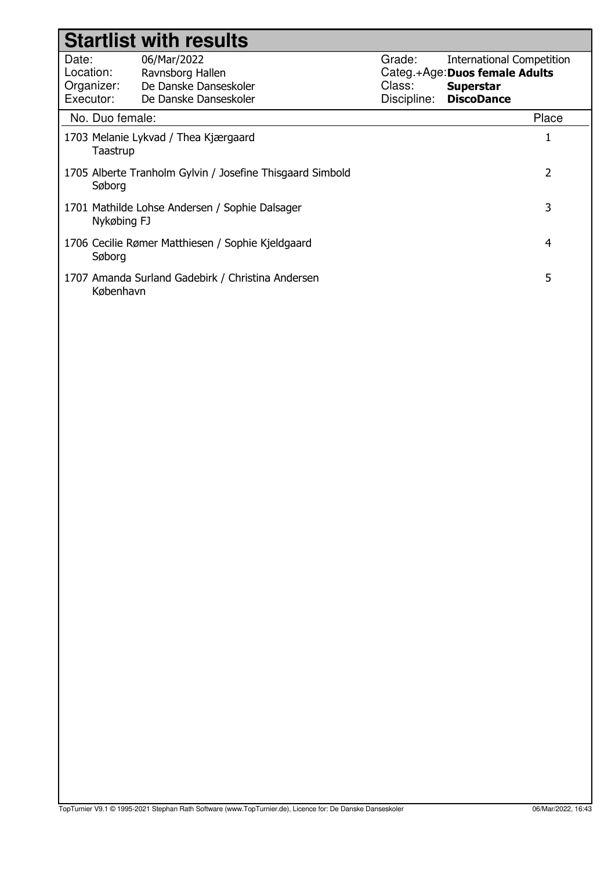| <b>Startlist with results</b>                                            |                                                                                   |                                 |                                                                                                             |       |
|--------------------------------------------------------------------------|-----------------------------------------------------------------------------------|---------------------------------|-------------------------------------------------------------------------------------------------------------|-------|
| Date:<br>Location:<br>Organizer:<br>Executor:                            | 06/Mar/2022<br>Ravnsborg Hallen<br>De Danske Danseskoler<br>De Danske Danseskoler | Grade:<br>Class:<br>Discipline: | <b>International Competition</b><br>Categ.+Age: Duos female Adults<br><b>Superstar</b><br><b>DiscoDance</b> |       |
| No. Duo female:                                                          |                                                                                   |                                 |                                                                                                             | Place |
| 1703 Melanie Lykvad / Thea Kjærgaard<br>Taastrup                         |                                                                                   |                                 |                                                                                                             |       |
| 2<br>1705 Alberte Tranholm Gylvin / Josefine Thisgaard Simbold<br>Søborg |                                                                                   |                                 |                                                                                                             |       |
| 3<br>1701 Mathilde Lohse Andersen / Sophie Dalsager<br>Nykøbing FJ       |                                                                                   |                                 |                                                                                                             |       |
| 1706 Cecilie Rømer Matthiesen / Sophie Kjeldgaard<br>4<br>Søborg         |                                                                                   |                                 |                                                                                                             |       |
| 5<br>1707 Amanda Surland Gadebirk / Christina Andersen<br>København      |                                                                                   |                                 |                                                                                                             |       |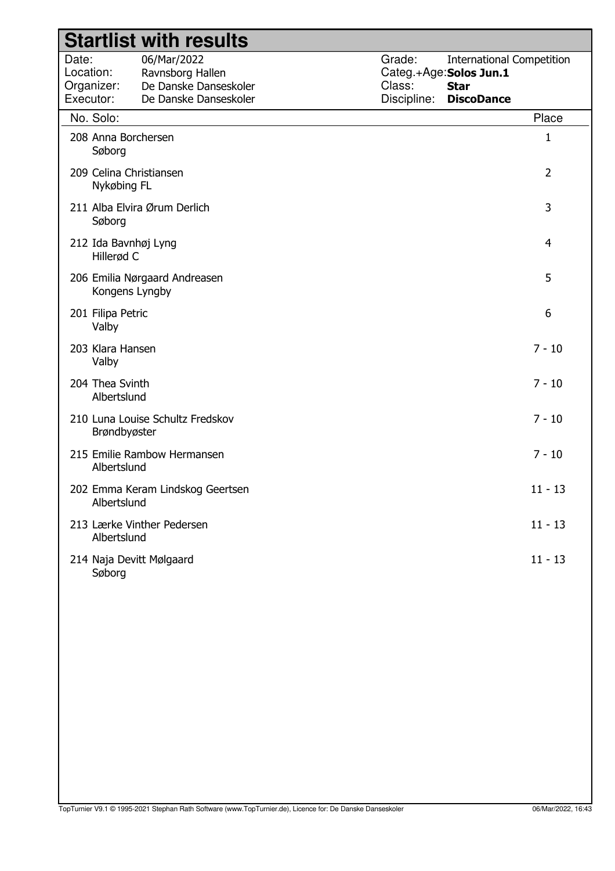|                                 |                                    | <b>Startlist with results</b>                                                     |                                 |                                                                                                |
|---------------------------------|------------------------------------|-----------------------------------------------------------------------------------|---------------------------------|------------------------------------------------------------------------------------------------|
| Date:<br>Location:<br>Executor: | Organizer:                         | 06/Mar/2022<br>Ravnsborg Hallen<br>De Danske Danseskoler<br>De Danske Danseskoler | Grade:<br>Class:<br>Discipline: | <b>International Competition</b><br>Categ.+Age:Solos Jun.1<br><b>Star</b><br><b>DiscoDance</b> |
|                                 | No. Solo:                          |                                                                                   |                                 | Place                                                                                          |
|                                 | 208 Anna Borchersen<br>Søborg      |                                                                                   |                                 | 1                                                                                              |
|                                 | Nykøbing FL                        | 209 Celina Christiansen                                                           |                                 | $\overline{2}$                                                                                 |
|                                 | Søborg                             | 211 Alba Elvira Ørum Derlich                                                      |                                 | 3                                                                                              |
|                                 | 212 Ida Bavnhøj Lyng<br>Hillerød C |                                                                                   |                                 | 4                                                                                              |
|                                 | Kongens Lyngby                     | 206 Emilia Nørgaard Andreasen                                                     |                                 | 5                                                                                              |
|                                 | 201 Filipa Petric<br>Valby         |                                                                                   |                                 | 6                                                                                              |
|                                 | 203 Klara Hansen<br>Valby          |                                                                                   |                                 | $7 - 10$                                                                                       |
|                                 | 204 Thea Svinth<br>Albertslund     |                                                                                   |                                 | $7 - 10$                                                                                       |
|                                 | Brøndbyøster                       | 210 Luna Louise Schultz Fredskov                                                  |                                 | $7 - 10$                                                                                       |
|                                 | Albertslund                        | 215 Emilie Rambow Hermansen                                                       |                                 | $7 - 10$                                                                                       |
|                                 | Albertslund                        | 202 Emma Keram Lindskog Geertsen                                                  |                                 | $11 - 13$                                                                                      |
|                                 | Albertslund                        | 213 Lærke Vinther Pedersen                                                        |                                 | $11 - 13$                                                                                      |
|                                 | Søborg                             | 214 Naja Devitt Mølgaard                                                          |                                 | $11 - 13$                                                                                      |
|                                 |                                    |                                                                                   |                                 |                                                                                                |
|                                 |                                    |                                                                                   |                                 |                                                                                                |
|                                 |                                    |                                                                                   |                                 |                                                                                                |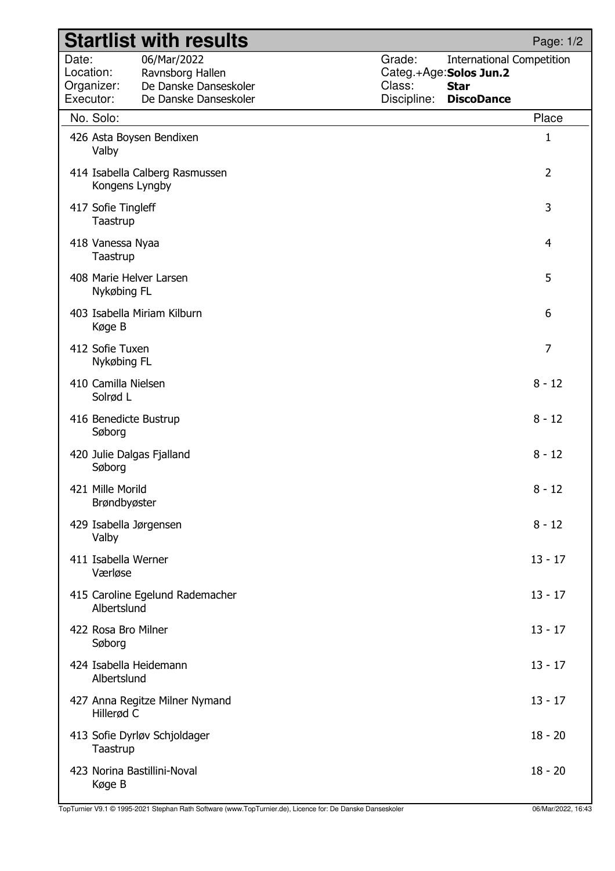|                                               |                                  | <b>Startlist with results</b>                                                     |                                 |                                                                                                 | Page: 1/2      |
|-----------------------------------------------|----------------------------------|-----------------------------------------------------------------------------------|---------------------------------|-------------------------------------------------------------------------------------------------|----------------|
| Date:<br>Location:<br>Organizer:<br>Executor: |                                  | 06/Mar/2022<br>Ravnsborg Hallen<br>De Danske Danseskoler<br>De Danske Danseskoler | Grade:<br>Class:<br>Discipline: | <b>International Competition</b><br>Categ.+Age: Solos Jun.2<br><b>Star</b><br><b>DiscoDance</b> |                |
|                                               | No. Solo:                        |                                                                                   |                                 |                                                                                                 | Place          |
|                                               | Valby                            | 426 Asta Boysen Bendixen                                                          |                                 |                                                                                                 | 1              |
|                                               | Kongens Lyngby                   | 414 Isabella Calberg Rasmussen                                                    |                                 |                                                                                                 | $\overline{2}$ |
|                                               | 417 Sofie Tingleff<br>Taastrup   |                                                                                   |                                 |                                                                                                 | 3              |
|                                               | 418 Vanessa Nyaa<br>Taastrup     |                                                                                   |                                 |                                                                                                 | 4              |
|                                               | Nykøbing FL                      | 408 Marie Helver Larsen                                                           |                                 |                                                                                                 | 5              |
|                                               | Køge B                           | 403 Isabella Miriam Kilburn                                                       |                                 |                                                                                                 | 6              |
|                                               | 412 Sofie Tuxen<br>Nykøbing FL   |                                                                                   |                                 |                                                                                                 | $\overline{7}$ |
|                                               | 410 Camilla Nielsen<br>Solrød L  |                                                                                   |                                 |                                                                                                 | $8 - 12$       |
|                                               | 416 Benedicte Bustrup<br>Søborg  |                                                                                   |                                 |                                                                                                 | $8 - 12$       |
|                                               | Søborg                           | 420 Julie Dalgas Fjalland                                                         |                                 |                                                                                                 | $8 - 12$       |
|                                               | 421 Mille Morild<br>Brøndbyøster |                                                                                   |                                 |                                                                                                 | $8 - 12$       |
|                                               | Valby                            | 429 Isabella Jørgensen                                                            |                                 |                                                                                                 | $8 - 12$       |
|                                               | 411 Isabella Werner<br>Værløse   |                                                                                   |                                 |                                                                                                 | $13 - 17$      |
|                                               | Albertslund                      | 415 Caroline Egelund Rademacher                                                   |                                 |                                                                                                 | $13 - 17$      |
|                                               | 422 Rosa Bro Milner<br>Søborg    |                                                                                   |                                 |                                                                                                 | $13 - 17$      |
|                                               | Albertslund                      | 424 Isabella Heidemann                                                            |                                 |                                                                                                 | $13 - 17$      |
|                                               | Hillerød C                       | 427 Anna Regitze Milner Nymand                                                    |                                 |                                                                                                 | $13 - 17$      |
|                                               | Taastrup                         | 413 Sofie Dyrløv Schjoldager                                                      |                                 |                                                                                                 | $18 - 20$      |
|                                               | Køge B                           | 423 Norina Bastillini-Noval                                                       |                                 |                                                                                                 | $18 - 20$      |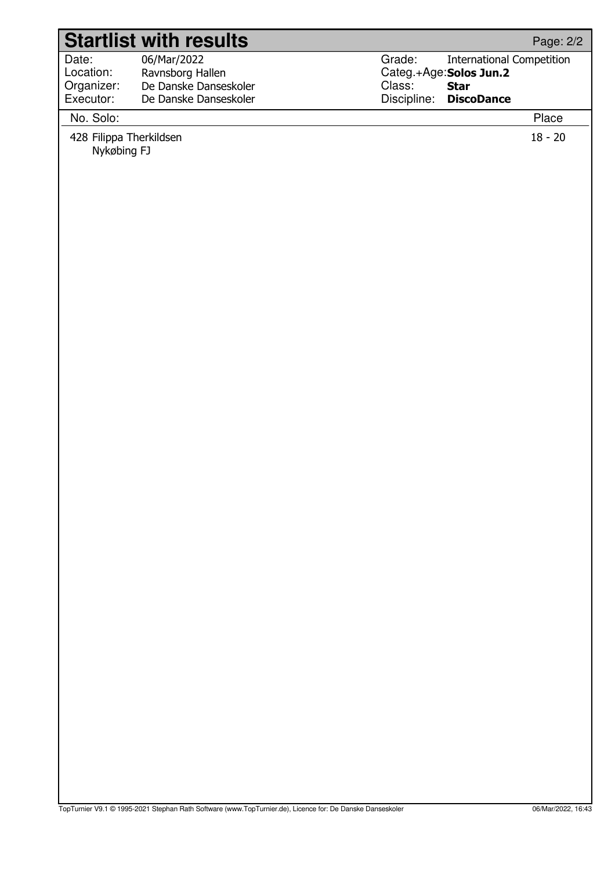|                                                     | <b>Startlist with results</b>                  |             |                                  | Page: 2/2          |
|-----------------------------------------------------|------------------------------------------------|-------------|----------------------------------|--------------------|
| Date:                                               | 06/Mar/2022                                    | Grade:      | <b>International Competition</b> |                    |
| Location:                                           | Ravnsborg Hallen                               |             | Categ.+Age: Solos Jun.2          |                    |
| Organizer:<br>Executor:                             | De Danske Danseskoler<br>De Danske Danseskoler | Class:      | <b>Star</b>                      |                    |
|                                                     |                                                | Discipline: | <b>DiscoDance</b>                |                    |
|                                                     |                                                |             |                                  |                    |
| No. Solo:<br>428 Filippa Therkildsen<br>Nykøbing FJ |                                                |             |                                  | Place<br>$18 - 20$ |
|                                                     |                                                |             |                                  |                    |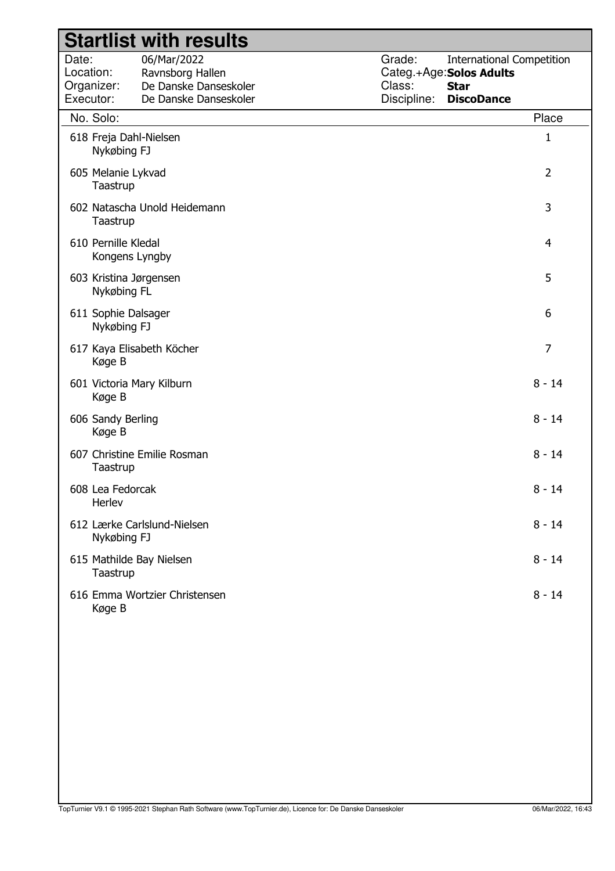| Grade:<br>Date:<br>06/Mar/2022<br><b>International Competition</b><br>Location:<br>Ravnsborg Hallen<br>Categ.+Age: Solos Adults<br>De Danske Danseskoler<br>Class:<br>Organizer:<br><b>Star</b><br>Executor:<br>Discipline:<br>De Danske Danseskoler<br><b>DiscoDance</b> |                |
|---------------------------------------------------------------------------------------------------------------------------------------------------------------------------------------------------------------------------------------------------------------------------|----------------|
| No. Solo:                                                                                                                                                                                                                                                                 | Place          |
| 618 Freja Dahl-Nielsen<br>Nykøbing FJ                                                                                                                                                                                                                                     | 1              |
| 605 Melanie Lykvad<br>Taastrup                                                                                                                                                                                                                                            | $\overline{2}$ |
| 602 Natascha Unold Heidemann<br>Taastrup                                                                                                                                                                                                                                  | 3              |
| 610 Pernille Kledal<br>Kongens Lyngby                                                                                                                                                                                                                                     | 4              |
| 603 Kristina Jørgensen<br>Nykøbing FL                                                                                                                                                                                                                                     | 5              |
| 611 Sophie Dalsager<br>Nykøbing FJ                                                                                                                                                                                                                                        | 6              |
| 617 Kaya Elisabeth Köcher<br>Køge B                                                                                                                                                                                                                                       | $\overline{7}$ |
| 601 Victoria Mary Kilburn<br>Køge B                                                                                                                                                                                                                                       | $8 - 14$       |
| 606 Sandy Berling<br>Køge B                                                                                                                                                                                                                                               | $8 - 14$       |
| 607 Christine Emilie Rosman<br>Taastrup                                                                                                                                                                                                                                   | $8 - 14$       |
| 608 Lea Fedorcak<br>Herlev                                                                                                                                                                                                                                                | $8 - 14$       |
| 612 Lærke Carlslund-Nielsen<br>Nykøbing FJ                                                                                                                                                                                                                                | $8 - 14$       |
| 615 Mathilde Bay Nielsen<br>Taastrup                                                                                                                                                                                                                                      | $8 - 14$       |
| 616 Emma Wortzier Christensen<br>Køge B                                                                                                                                                                                                                                   | $8 - 14$       |
|                                                                                                                                                                                                                                                                           |                |
|                                                                                                                                                                                                                                                                           |                |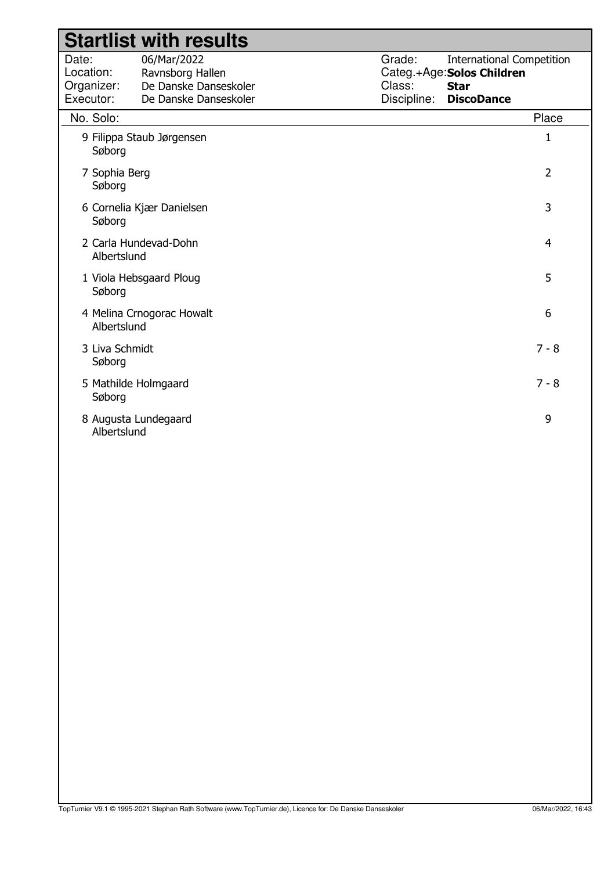|                                               | <b>Startlist with results</b>                                                     |                                 |                                                                                                    |
|-----------------------------------------------|-----------------------------------------------------------------------------------|---------------------------------|----------------------------------------------------------------------------------------------------|
| Date:<br>Location:<br>Organizer:<br>Executor: | 06/Mar/2022<br>Ravnsborg Hallen<br>De Danske Danseskoler<br>De Danske Danseskoler | Grade:<br>Class:<br>Discipline: | <b>International Competition</b><br>Categ.+Age: Solos Children<br><b>Star</b><br><b>DiscoDance</b> |
| No. Solo:                                     |                                                                                   |                                 | Place                                                                                              |
| Søborg                                        | 9 Filippa Staub Jørgensen                                                         |                                 | $\mathbf{1}$                                                                                       |
| 7 Sophia Berg<br>Søborg                       |                                                                                   |                                 | $\overline{2}$                                                                                     |
| Søborg                                        | 6 Cornelia Kjær Danielsen                                                         |                                 | 3                                                                                                  |
| Albertslund                                   | 2 Carla Hundevad-Dohn                                                             |                                 | $\overline{4}$                                                                                     |
| Søborg                                        | 1 Viola Hebsgaard Ploug                                                           |                                 | 5                                                                                                  |
| Albertslund                                   | 4 Melina Crnogorac Howalt                                                         |                                 | 6                                                                                                  |
| 3 Liva Schmidt<br>Søborg                      |                                                                                   |                                 | $7 - 8$                                                                                            |
| Søborg                                        | 5 Mathilde Holmgaard                                                              |                                 | $7 - 8$                                                                                            |
| Albertslund                                   | 8 Augusta Lundegaard                                                              |                                 | 9                                                                                                  |
|                                               |                                                                                   |                                 |                                                                                                    |
|                                               |                                                                                   |                                 |                                                                                                    |
|                                               |                                                                                   |                                 |                                                                                                    |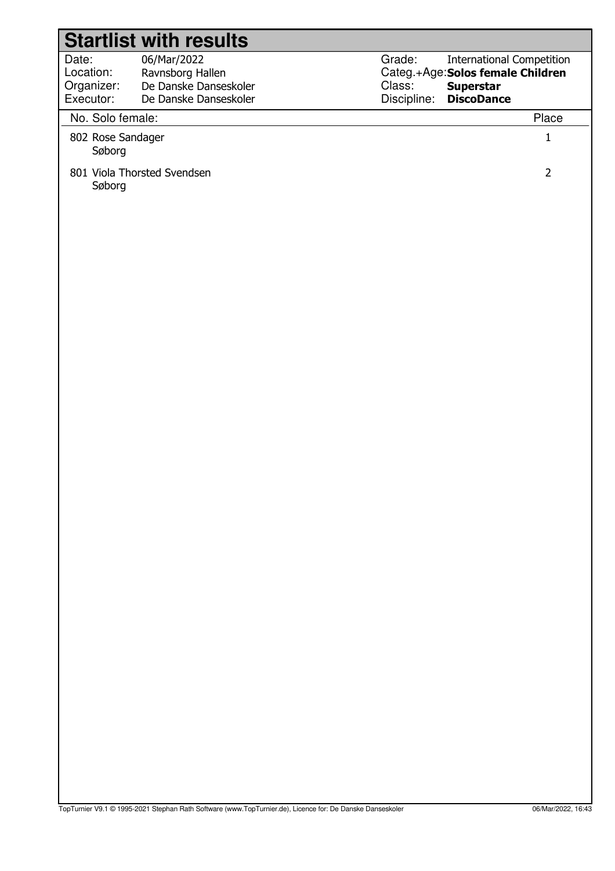| <b>Startlist with results</b>                                                                                                      |                                                                                                                                                   |
|------------------------------------------------------------------------------------------------------------------------------------|---------------------------------------------------------------------------------------------------------------------------------------------------|
| Date:<br>06/Mar/2022<br>Location:<br>Ravnsborg Hallen<br>De Danske Danseskoler<br>Organizer:<br>Executor:<br>De Danske Danseskoler | Grade:<br><b>International Competition</b><br>Categ.+Age: Solos female Children<br>Class:<br><b>Superstar</b><br>Discipline:<br><b>DiscoDance</b> |
| No. Solo female:                                                                                                                   | Place                                                                                                                                             |
| 802 Rose Sandager<br>Søborg                                                                                                        | $\mathbf{1}$                                                                                                                                      |
| 801 Viola Thorsted Svendsen<br>Søborg                                                                                              | $\overline{2}$                                                                                                                                    |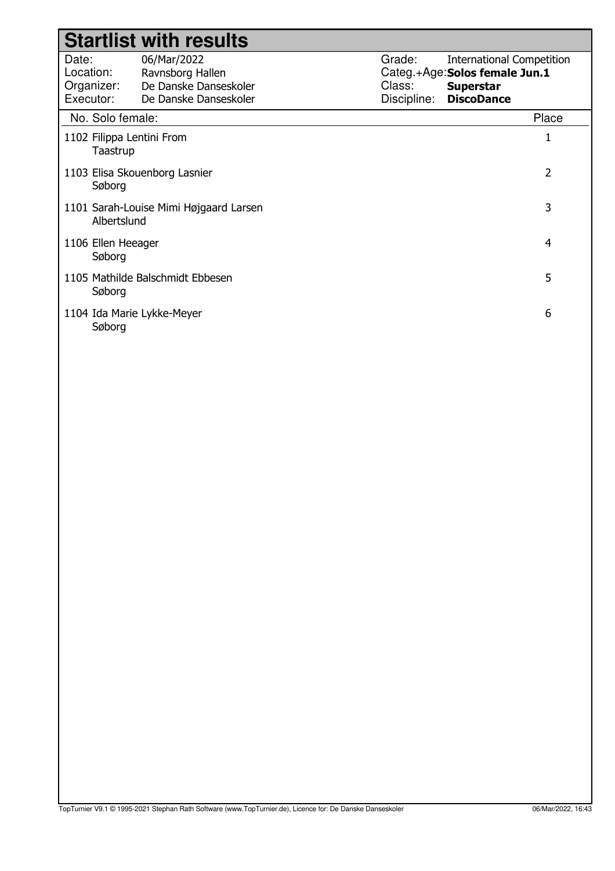|                                                            | <b>Startlist with results</b>                                                     |                                 |                                                                                                            |
|------------------------------------------------------------|-----------------------------------------------------------------------------------|---------------------------------|------------------------------------------------------------------------------------------------------------|
| Date:<br>Location:<br>Organizer:<br>Executor:              | 06/Mar/2022<br>Ravnsborg Hallen<br>De Danske Danseskoler<br>De Danske Danseskoler | Grade:<br>Class:<br>Discipline: | <b>International Competition</b><br>Categ.+Age:Solos female Jun.1<br><b>Superstar</b><br><b>DiscoDance</b> |
| No. Solo female:                                           |                                                                                   |                                 | Place                                                                                                      |
| 1102 Filippa Lentini From<br>Taastrup                      |                                                                                   |                                 |                                                                                                            |
| Søborg                                                     | 1103 Elisa Skouenborg Lasnier                                                     |                                 | 2                                                                                                          |
| 3<br>1101 Sarah-Louise Mimi Højgaard Larsen<br>Albertslund |                                                                                   |                                 |                                                                                                            |
| 4<br>1106 Ellen Heeager<br>Søborg                          |                                                                                   |                                 |                                                                                                            |
| Søborg                                                     | 1105 Mathilde Balschmidt Ebbesen                                                  |                                 | 5                                                                                                          |
| 1104 Ida Marie Lykke-Meyer<br>Søborg                       |                                                                                   |                                 | 6                                                                                                          |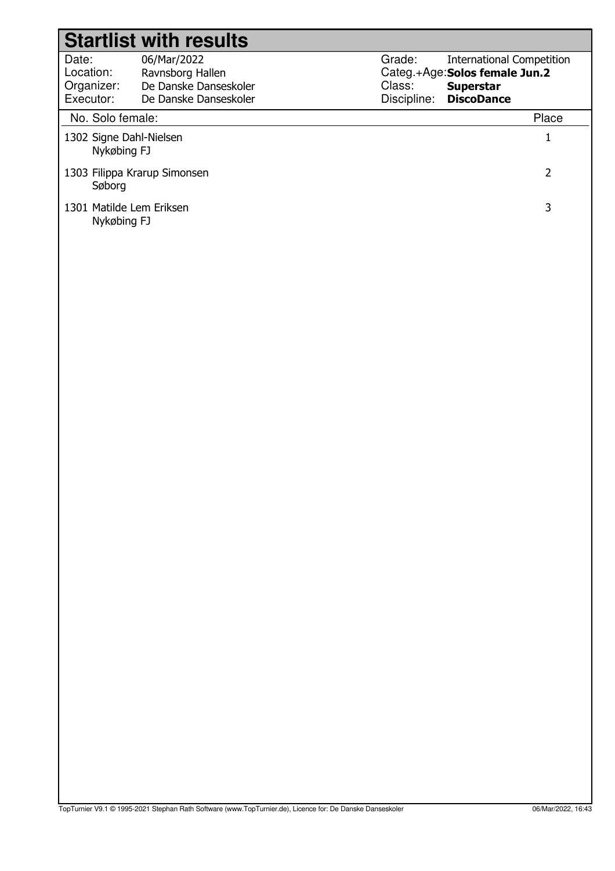| <b>Startlist with results</b>                |                                           |             |                                                   |  |
|----------------------------------------------|-------------------------------------------|-------------|---------------------------------------------------|--|
| Date:                                        | 06/Mar/2022                               | Grade:      | <b>International Competition</b>                  |  |
| Location:<br>Organizer:                      | Ravnsborg Hallen<br>De Danske Danseskoler | Class:      | Categ.+Age:Solos female Jun.2<br><b>Superstar</b> |  |
| Executor:                                    | De Danske Danseskoler                     | Discipline: | <b>DiscoDance</b>                                 |  |
| No. Solo female:                             |                                           |             | Place                                             |  |
| 1302 Signe Dahl-Nielsen<br>Nykøbing FJ       |                                           |             |                                                   |  |
| 2<br>1303 Filippa Krarup Simonsen<br>Søborg  |                                           |             |                                                   |  |
| 1301 Matilde Lem Eriksen<br>3<br>Nykøbing FJ |                                           |             |                                                   |  |
|                                              |                                           |             |                                                   |  |